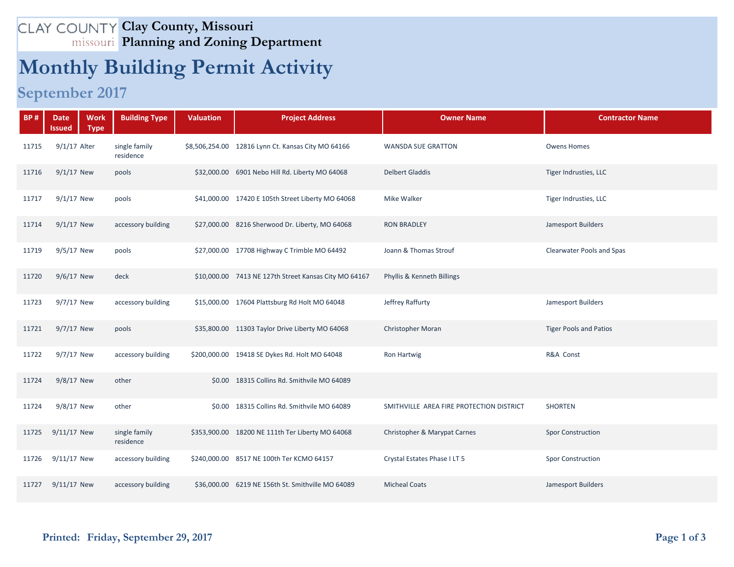## **Clay County, Missouri Planning and Zoning Department**

## **Monthly Building Permit Activity**

## **September 2017**

| <b>BP#</b> | <b>Work</b><br><b>Date</b><br><b>Type</b><br>Issued | <b>Building Type</b>       | <b>Valuation</b> | <b>Project Address</b>                                | <b>Owner Name</b>                        | <b>Contractor Name</b>        |
|------------|-----------------------------------------------------|----------------------------|------------------|-------------------------------------------------------|------------------------------------------|-------------------------------|
| 11715      | 9/1/17 Alter                                        | single family<br>residence |                  | \$8,506,254.00 12816 Lynn Ct. Kansas City MO 64166    | <b>WANSDA SUE GRATTON</b>                | <b>Owens Homes</b>            |
| 11716      | $9/1/17$ New                                        | pools                      |                  | \$32,000.00 6901 Nebo Hill Rd. Liberty MO 64068       | <b>Delbert Gladdis</b>                   | Tiger Indrusties, LLC         |
| 11717      | $9/1/17$ New                                        | pools                      |                  | \$41,000.00 17420 E 105th Street Liberty MO 64068     | Mike Walker                              | Tiger Indrusties, LLC         |
| 11714      | $9/1/17$ New                                        | accessory building         |                  | \$27,000.00 8216 Sherwood Dr. Liberty, MO 64068       | <b>RON BRADLEY</b>                       | Jamesport Builders            |
| 11719      | 9/5/17 New                                          | pools                      |                  | \$27,000.00 17708 Highway C Trimble MO 64492          | Joann & Thomas Strouf                    | Clearwater Pools and Spas     |
| 11720      | 9/6/17 New                                          | deck                       |                  | \$10,000.00 7413 NE 127th Street Kansas City MO 64167 | Phyllis & Kenneth Billings               |                               |
| 11723      | 9/7/17 New                                          | accessory building         |                  | \$15,000.00 17604 Plattsburg Rd Holt MO 64048         | Jeffrey Raffurty                         | Jamesport Builders            |
| 11721      | 9/7/17 New                                          | pools                      |                  | \$35,800.00 11303 Taylor Drive Liberty MO 64068       | <b>Christopher Moran</b>                 | <b>Tiger Pools and Patios</b> |
| 11722      | 9/7/17 New                                          | accessory building         |                  | \$200,000.00 19418 SE Dykes Rd. Holt MO 64048         | Ron Hartwig                              | R&A Const                     |
| 11724      | 9/8/17 New                                          | other                      |                  | \$0.00 18315 Collins Rd. Smithvile MO 64089           |                                          |                               |
| 11724      | 9/8/17 New                                          | other                      |                  | \$0.00 18315 Collins Rd. Smithvile MO 64089           | SMITHVILLE AREA FIRE PROTECTION DISTRICT | <b>SHORTEN</b>                |
| 11725      | 9/11/17 New                                         | single family<br>residence |                  | \$353,900.00 18200 NE 111th Ter Liberty MO 64068      | Christopher & Marypat Carnes             | <b>Spor Construction</b>      |
| 11726      | 9/11/17 New                                         | accessory building         |                  | \$240,000.00 8517 NE 100th Ter KCMO 64157             | Crystal Estates Phase I LT 5             | <b>Spor Construction</b>      |
| 11727      | 9/11/17 New                                         | accessory building         |                  | \$36,000.00 6219 NE 156th St. Smithville MO 64089     | <b>Micheal Coats</b>                     | Jamesport Builders            |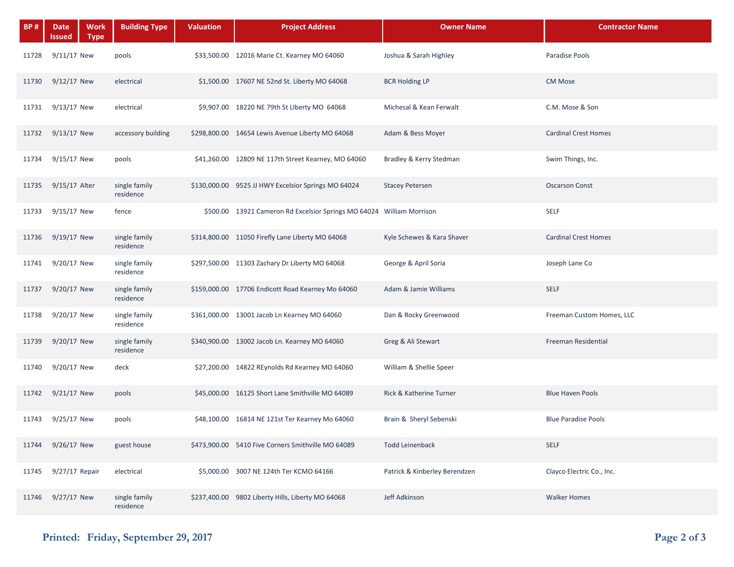| <b>BP#</b> | Date<br>Work<br><b>Type</b><br>Issued | <b>Building Type</b>       | <b>Valuation</b> | <b>Project Address</b>                                                | <b>Owner Name</b>             | <b>Contractor Name</b>      |
|------------|---------------------------------------|----------------------------|------------------|-----------------------------------------------------------------------|-------------------------------|-----------------------------|
| 11728      | $9/11/17$ New                         | pools                      |                  | \$33,500.00 12016 Marie Ct. Kearney MO 64060                          | Joshua & Sarah Highley        | Paradise Pools              |
| 11730      | 9/12/17 New                           | electrical                 |                  | \$1,500.00 17607 NE 52nd St. Liberty MO 64068                         | <b>BCR Holding LP</b>         | CM Mose                     |
| 11731      | $9/13/17$ New                         | electrical                 |                  | \$9,907.00 18220 NE 79th St Liberty MO 64068                          | Michesal & Kean Ferwalt       | C.M. Mose & Son             |
| 11732      | $9/13/17$ New                         | accessory building         |                  | \$298,800.00 14654 Lewis Avenue Liberty MO 64068                      | Adam & Bess Moyer             | <b>Cardinal Crest Homes</b> |
| 11734      | 9/15/17 New                           | pools                      |                  | \$41,260.00 12809 NE 117th Street Kearney, MO 64060                   | Bradley & Kerry Stedman       | Swim Things, Inc.           |
| 11735      | $9/15/17$ Alter                       | single family<br>residence |                  | \$130,000.00 9525 JJ HWY Excelsior Springs MO 64024                   | <b>Stacey Petersen</b>        | <b>Oscarson Const</b>       |
| 11733      | $9/15/17$ New                         | fence                      |                  | \$500.00 13921 Cameron Rd Excelsior Springs MO 64024 William Morrison |                               | <b>SELF</b>                 |
| 11736      | 9/19/17 New                           | single family<br>residence |                  | \$314,800.00 11050 Firefly Lane Liberty MO 64068                      | Kyle Schewes & Kara Shaver    | <b>Cardinal Crest Homes</b> |
| 11741      | 9/20/17 New                           | single family<br>residence |                  | \$297,500.00 11303 Zachary Dr Liberty MO 64068                        | George & April Soria          | Joseph Lane Co              |
| 11737      | 9/20/17 New                           | single family<br>residence |                  | \$159,000.00 17706 Endicott Road Kearney Mo 64060                     | Adam & Jamie Williams         | <b>SELF</b>                 |
| 11738      | 9/20/17 New                           | single family<br>residence |                  | \$361,000.00 13001 Jacob Ln Kearney MO 64060                          | Dan & Rocky Greenwood         | Freeman Custom Homes, LLC   |
| 11739      | 9/20/17 New                           | single family<br>residence |                  | \$340,900.00 13002 Jacob Ln. Kearney MO 64060                         | Greg & Ali Stewart            | Freeman Residential         |
| 11740      | 9/20/17 New                           | deck                       |                  | \$27,200.00 14822 REynolds Rd Kearney MO 64060                        | William & Shellie Speer       |                             |
| 11742      | 9/21/17 New                           | pools                      |                  | \$45,000.00 16125 Short Lane Smithville MO 64089                      | Rick & Katherine Turner       | <b>Blue Haven Pools</b>     |
| 11743      | 9/25/17 New                           | pools                      |                  | \$48,100.00 16814 NE 121st Ter Kearney Mo 64060                       | Brain & Sheryl Sebenski       | <b>Blue Paradise Pools</b>  |
| 11744      | 9/26/17 New                           | guest house                |                  | \$473,900.00 5410 Five Corners Smithville MO 64089                    | <b>Todd Leinenback</b>        | <b>SELF</b>                 |
| 11745      | 9/27/17 Repair                        | electrical                 |                  | \$5,000.00 3007 NE 124th Ter KCMO 64166                               | Patrick & Kinberley Berendzen | Clayco Electric Co., Inc.   |
| 11746      | 9/27/17 New                           | single family<br>residence |                  | \$237,400.00 9802 Liberty Hills, Liberty MO 64068                     | Jeff Adkinson                 | <b>Walker Homes</b>         |